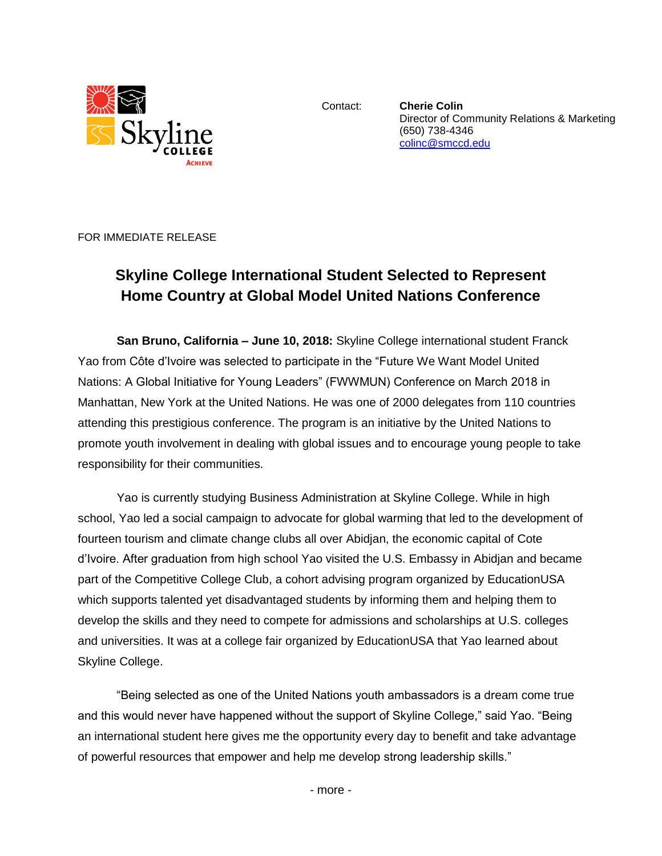

Contact: **Cherie Colin** Director of Community Relations & Marketing (650) 738-4346 [colinc@smccd.edu](mailto:colinc@smccd.edu) 

FOR IMMEDIATE RELEASE

## **Skyline College International Student Selected to Represent Home Country at Global Model United Nations Conference**

**San Bruno, California – June 10, 2018:** Skyline College international student Franck Yao from Côte d'Ivoire was selected to participate in the "Future We Want Model United Nations: A Global Initiative for Young Leaders" (FWWMUN) Conference on March 2018 in Manhattan, New York at the United Nations. He was one of 2000 delegates from 110 countries attending this prestigious conference. The program is an initiative by the United Nations to promote youth involvement in dealing with global issues and to encourage young people to take responsibility for their communities.

Yao is currently studying Business Administration at Skyline College. While in high school, Yao led a social campaign to advocate for global warming that led to the development of fourteen tourism and climate change clubs all over Abidjan, the economic capital of Cote d'Ivoire. After graduation from high school Yao visited the U.S. Embassy in Abidjan and became part of the Competitive College Club, a cohort advising program organized by EducationUSA which supports talented yet disadvantaged students by informing them and helping them to develop the skills and they need to compete for admissions and scholarships at U.S. colleges and universities. It was at a college fair organized by EducationUSA that Yao learned about Skyline College.

"Being selected as one of the United Nations youth ambassadors is a dream come true and this would never have happened without the support of Skyline College," said Yao. "Being an international student here gives me the opportunity every day to benefit and take advantage of powerful resources that empower and help me develop strong leadership skills."